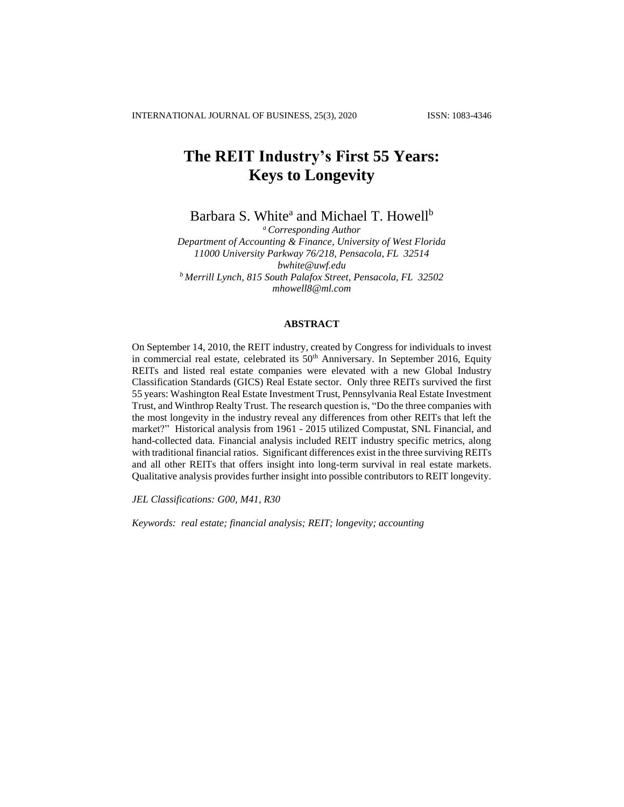# **The REIT Industry's First 55 Years: Keys to Longevity**

Barbara S. White<sup>a</sup> and Michael T. Howell<sup>b</sup>

*<sup>a</sup>Corresponding Author Department of Accounting & Finance, University of West Florida 11000 University Parkway 76/218, Pensacola, FL 32514 [bwhite@uwf.edu](mailto:bwhite@uwf.edu) <sup>b</sup> Merrill Lynch, 815 South Palafox Street, Pensacola, FL 32502 mhowell8@ml.com*

### **ABSTRACT**

On September 14, 2010, the REIT industry, created by Congress for individuals to invest in commercial real estate, celebrated its  $50<sup>th</sup>$  Anniversary. In September 2016, Equity REITs and listed real estate companies were elevated with a new Global Industry Classification Standards (GICS) Real Estate sector. Only three REITs survived the first 55 years: Washington Real Estate Investment Trust, Pennsylvania Real Estate Investment Trust, and Winthrop Realty Trust. The research question is, "Do the three companies with the most longevity in the industry reveal any differences from other REITs that left the market?" Historical analysis from 1961 - 2015 utilized Compustat, SNL Financial, and hand-collected data. Financial analysis included REIT industry specific metrics, along with traditional financial ratios. Significant differences exist in the three surviving REITs and all other REITs that offers insight into long-term survival in real estate markets. Qualitative analysis provides further insight into possible contributors to REIT longevity.

*JEL Classifications: G00, M41, R30*

*Keywords: real estate; financial analysis; REIT; longevity; accounting*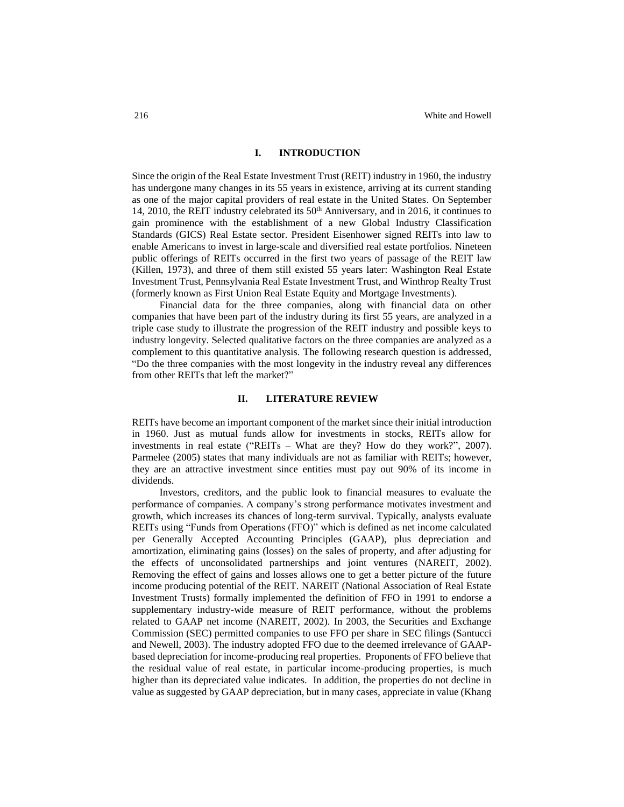#### **I. INTRODUCTION**

Since the origin of the Real Estate Investment Trust (REIT) industry in 1960, the industry has undergone many changes in its 55 years in existence, arriving at its current standing as one of the major capital providers of real estate in the United States. On September 14, 2010, the REIT industry celebrated its 50<sup>th</sup> Anniversary, and in 2016, it continues to gain prominence with the establishment of a new Global Industry Classification Standards (GICS) Real Estate sector. President Eisenhower signed REITs into law to enable Americans to invest in large-scale and diversified real estate portfolios. Nineteen public offerings of REITs occurred in the first two years of passage of the REIT law (Killen, 1973), and three of them still existed 55 years later: Washington Real Estate Investment Trust, Pennsylvania Real Estate Investment Trust, and Winthrop Realty Trust (formerly known as First Union Real Estate Equity and Mortgage Investments).

Financial data for the three companies, along with financial data on other companies that have been part of the industry during its first 55 years, are analyzed in a triple case study to illustrate the progression of the REIT industry and possible keys to industry longevity. Selected qualitative factors on the three companies are analyzed as a complement to this quantitative analysis. The following research question is addressed, "Do the three companies with the most longevity in the industry reveal any differences from other REITs that left the market?"

## **II. LITERATURE REVIEW**

REITs have become an important component of the market since their initial introduction in 1960. Just as mutual funds allow for investments in stocks, REITs allow for investments in real estate ("REITs – What are they? How do they work?", 2007). Parmelee (2005) states that many individuals are not as familiar with REITs; however, they are an attractive investment since entities must pay out 90% of its income in dividends.

Investors, creditors, and the public look to financial measures to evaluate the performance of companies. A company's strong performance motivates investment and growth, which increases its chances of long-term survival. Typically, analysts evaluate REITs using "Funds from Operations (FFO)" which is defined as net income calculated per Generally Accepted Accounting Principles (GAAP), plus depreciation and amortization, eliminating gains (losses) on the sales of property, and after adjusting for the effects of unconsolidated partnerships and joint ventures (NAREIT, 2002). Removing the effect of gains and losses allows one to get a better picture of the future income producing potential of the REIT. NAREIT (National Association of Real Estate Investment Trusts) formally implemented the definition of FFO in 1991 to endorse a supplementary industry-wide measure of REIT performance, without the problems related to GAAP net income (NAREIT, 2002). In 2003, the Securities and Exchange Commission (SEC) permitted companies to use FFO per share in SEC filings (Santucci and Newell, 2003). The industry adopted FFO due to the deemed irrelevance of GAAPbased depreciation for income-producing real properties. Proponents of FFO believe that the residual value of real estate, in particular income-producing properties, is much higher than its depreciated value indicates. In addition, the properties do not decline in value as suggested by GAAP depreciation, but in many cases, appreciate in value (Khang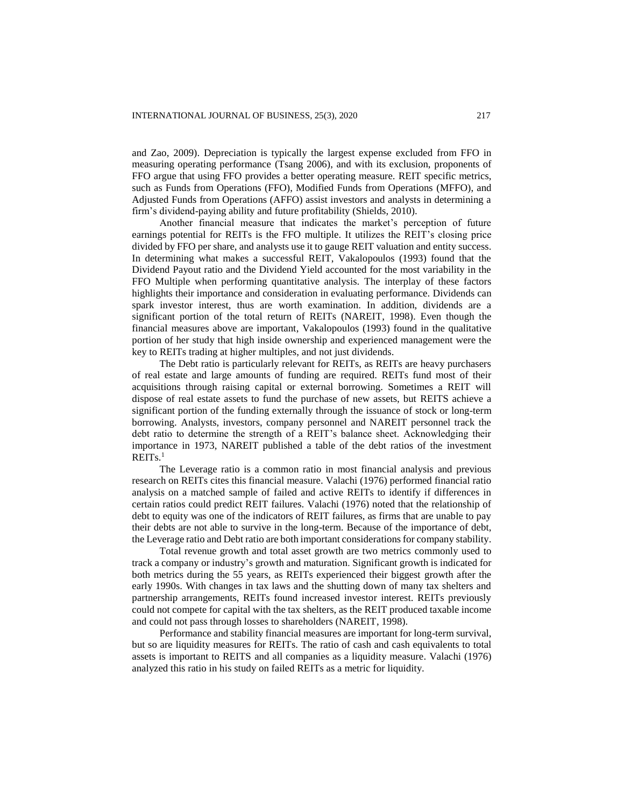and Zao, 2009). Depreciation is typically the largest expense excluded from FFO in measuring operating performance (Tsang 2006), and with its exclusion, proponents of FFO argue that using FFO provides a better operating measure. REIT specific metrics, such as Funds from Operations (FFO), Modified Funds from Operations (MFFO), and Adjusted Funds from Operations (AFFO) assist investors and analysts in determining a firm's dividend-paying ability and future profitability (Shields, 2010).

Another financial measure that indicates the market's perception of future earnings potential for REITs is the FFO multiple. It utilizes the REIT's closing price divided by FFO per share, and analysts use it to gauge REIT valuation and entity success. In determining what makes a successful REIT, Vakalopoulos (1993) found that the Dividend Payout ratio and the Dividend Yield accounted for the most variability in the FFO Multiple when performing quantitative analysis. The interplay of these factors highlights their importance and consideration in evaluating performance. Dividends can spark investor interest, thus are worth examination. In addition, dividends are a significant portion of the total return of REITs (NAREIT, 1998). Even though the financial measures above are important, Vakalopoulos (1993) found in the qualitative portion of her study that high inside ownership and experienced management were the key to REITs trading at higher multiples, and not just dividends.

The Debt ratio is particularly relevant for REITs, as REITs are heavy purchasers of real estate and large amounts of funding are required. REITs fund most of their acquisitions through raising capital or external borrowing. Sometimes a REIT will dispose of real estate assets to fund the purchase of new assets, but REITS achieve a significant portion of the funding externally through the issuance of stock or long-term borrowing. Analysts, investors, company personnel and NAREIT personnel track the debt ratio to determine the strength of a REIT's balance sheet. Acknowledging their importance in 1973, NAREIT published a table of the debt ratios of the investment  $REITs.<sup>1</sup>$ 

The Leverage ratio is a common ratio in most financial analysis and previous research on REITs cites this financial measure. Valachi (1976) performed financial ratio analysis on a matched sample of failed and active REITs to identify if differences in certain ratios could predict REIT failures. Valachi (1976) noted that the relationship of debt to equity was one of the indicators of REIT failures, as firms that are unable to pay their debts are not able to survive in the long-term. Because of the importance of debt, the Leverage ratio and Debt ratio are both important considerations for company stability.

Total revenue growth and total asset growth are two metrics commonly used to track a company or industry's growth and maturation. Significant growth is indicated for both metrics during the 55 years, as REITs experienced their biggest growth after the early 1990s. With changes in tax laws and the shutting down of many tax shelters and partnership arrangements, REITs found increased investor interest. REITs previously could not compete for capital with the tax shelters, as the REIT produced taxable income and could not pass through losses to shareholders (NAREIT, 1998).

Performance and stability financial measures are important for long-term survival, but so are liquidity measures for REITs. The ratio of cash and cash equivalents to total assets is important to REITS and all companies as a liquidity measure. Valachi (1976) analyzed this ratio in his study on failed REITs as a metric for liquidity.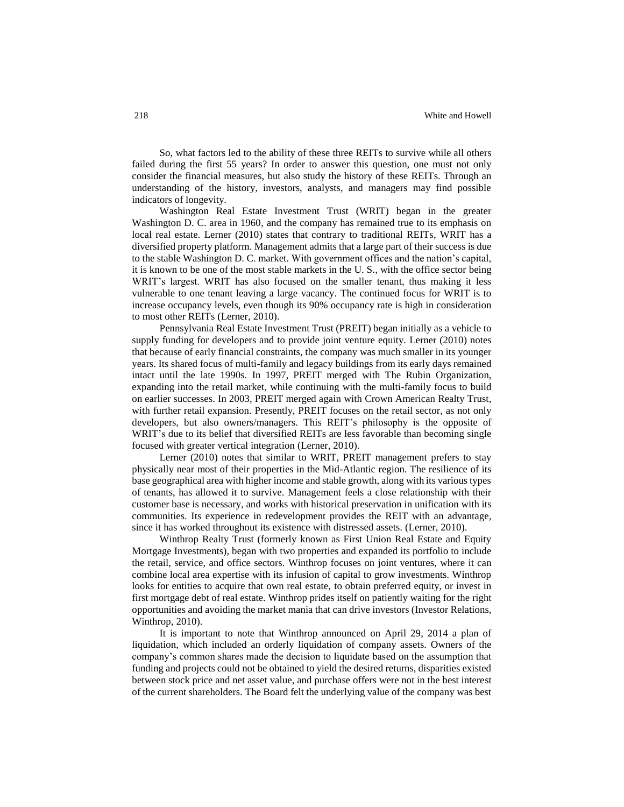So, what factors led to the ability of these three REITs to survive while all others failed during the first 55 years? In order to answer this question, one must not only consider the financial measures, but also study the history of these REITs. Through an understanding of the history, investors, analysts, and managers may find possible indicators of longevity.

Washington Real Estate Investment Trust (WRIT) began in the greater Washington D. C. area in 1960, and the company has remained true to its emphasis on local real estate. Lerner (2010) states that contrary to traditional REITs, WRIT has a diversified property platform. Management admits that a large part of their success is due to the stable Washington D. C. market. With government offices and the nation's capital, it is known to be one of the most stable markets in the U. S., with the office sector being WRIT's largest. WRIT has also focused on the smaller tenant, thus making it less vulnerable to one tenant leaving a large vacancy. The continued focus for WRIT is to increase occupancy levels, even though its 90% occupancy rate is high in consideration to most other REITs (Lerner, 2010).

Pennsylvania Real Estate Investment Trust (PREIT) began initially as a vehicle to supply funding for developers and to provide joint venture equity. Lerner (2010) notes that because of early financial constraints, the company was much smaller in its younger years. Its shared focus of multi-family and legacy buildings from its early days remained intact until the late 1990s. In 1997, PREIT merged with The Rubin Organization, expanding into the retail market, while continuing with the multi-family focus to build on earlier successes. In 2003, PREIT merged again with Crown American Realty Trust, with further retail expansion. Presently, PREIT focuses on the retail sector, as not only developers, but also owners/managers. This REIT's philosophy is the opposite of WRIT's due to its belief that diversified REITs are less favorable than becoming single focused with greater vertical integration (Lerner, 2010).

Lerner (2010) notes that similar to WRIT, PREIT management prefers to stay physically near most of their properties in the Mid-Atlantic region. The resilience of its base geographical area with higher income and stable growth, along with its various types of tenants, has allowed it to survive. Management feels a close relationship with their customer base is necessary, and works with historical preservation in unification with its communities. Its experience in redevelopment provides the REIT with an advantage, since it has worked throughout its existence with distressed assets. (Lerner, 2010).

Winthrop Realty Trust (formerly known as First Union Real Estate and Equity Mortgage Investments), began with two properties and expanded its portfolio to include the retail, service, and office sectors. Winthrop focuses on joint ventures, where it can combine local area expertise with its infusion of capital to grow investments. Winthrop looks for entities to acquire that own real estate, to obtain preferred equity, or invest in first mortgage debt of real estate. Winthrop prides itself on patiently waiting for the right opportunities and avoiding the market mania that can drive investors (Investor Relations, Winthrop, 2010).

It is important to note that Winthrop announced on April 29, 2014 a plan of liquidation, which included an orderly liquidation of company assets. Owners of the company's common shares made the decision to liquidate based on the assumption that funding and projects could not be obtained to yield the desired returns, disparities existed between stock price and net asset value, and purchase offers were not in the best interest of the current shareholders. The Board felt the underlying value of the company was best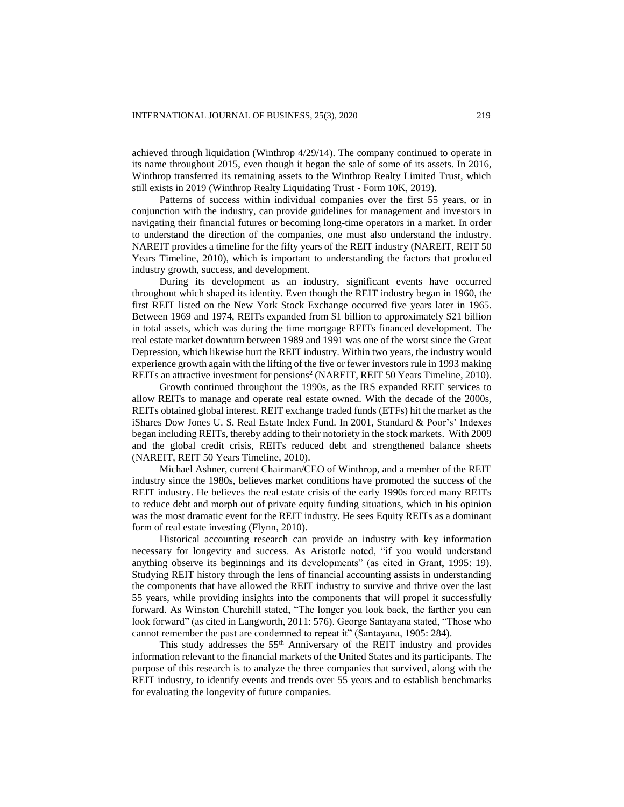achieved through liquidation (Winthrop 4/29/14). The company continued to operate in its name throughout 2015, even though it began the sale of some of its assets. In 2016, Winthrop transferred its remaining assets to the Winthrop Realty Limited Trust, which still exists in 2019 (Winthrop Realty Liquidating Trust - Form 10K, 2019).

Patterns of success within individual companies over the first 55 years, or in conjunction with the industry, can provide guidelines for management and investors in navigating their financial futures or becoming long-time operators in a market. In order to understand the direction of the companies, one must also understand the industry. NAREIT provides a timeline for the fifty years of the REIT industry (NAREIT, REIT 50 Years Timeline, 2010), which is important to understanding the factors that produced industry growth, success, and development.

During its development as an industry, significant events have occurred throughout which shaped its identity. Even though the REIT industry began in 1960, the first REIT listed on the New York Stock Exchange occurred five years later in 1965. Between 1969 and 1974, REITs expanded from \$1 billion to approximately \$21 billion in total assets, which was during the time mortgage REITs financed development. The real estate market downturn between 1989 and 1991 was one of the worst since the Great Depression, which likewise hurt the REIT industry. Within two years, the industry would experience growth again with the lifting of the five or fewer investors rule in 1993 making REITs an attractive investment for pensions<sup>2</sup> (NAREIT, REIT 50 Years Timeline, 2010).

Growth continued throughout the 1990s, as the IRS expanded REIT services to allow REITs to manage and operate real estate owned. With the decade of the 2000s, REITs obtained global interest. REIT exchange traded funds (ETFs) hit the market as the iShares Dow Jones U. S. Real Estate Index Fund. In 2001, Standard & Poor's' Indexes began including REITs, thereby adding to their notoriety in the stock markets. With 2009 and the global credit crisis, REITs reduced debt and strengthened balance sheets (NAREIT, REIT 50 Years Timeline, 2010).

Michael Ashner, current Chairman/CEO of Winthrop, and a member of the REIT industry since the 1980s, believes market conditions have promoted the success of the REIT industry. He believes the real estate crisis of the early 1990s forced many REITs to reduce debt and morph out of private equity funding situations, which in his opinion was the most dramatic event for the REIT industry. He sees Equity REITs as a dominant form of real estate investing (Flynn, 2010).

Historical accounting research can provide an industry with key information necessary for longevity and success. As Aristotle noted, "if you would understand anything observe its beginnings and its developments" (as cited in Grant, 1995: 19). Studying REIT history through the lens of financial accounting assists in understanding the components that have allowed the REIT industry to survive and thrive over the last 55 years, while providing insights into the components that will propel it successfully forward. As Winston Churchill stated, "The longer you look back, the farther you can look forward" (as cited in Langworth, 2011: 576). George Santayana stated, "Those who cannot remember the past are condemned to repeat it" (Santayana, 1905: 284).

This study addresses the 55<sup>th</sup> Anniversary of the REIT industry and provides information relevant to the financial markets of the United States and its participants. The purpose of this research is to analyze the three companies that survived, along with the REIT industry, to identify events and trends over 55 years and to establish benchmarks for evaluating the longevity of future companies.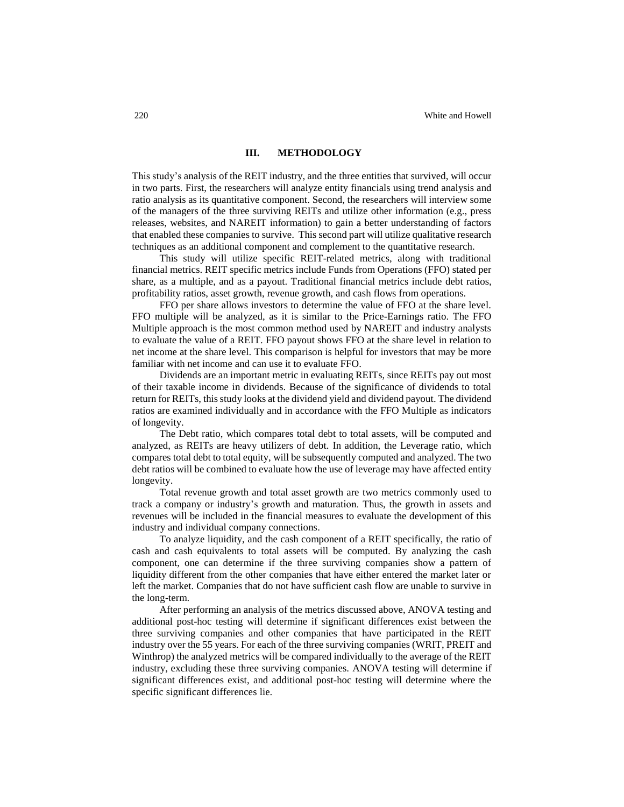#### **III. METHODOLOGY**

This study's analysis of the REIT industry, and the three entities that survived, will occur in two parts. First, the researchers will analyze entity financials using trend analysis and ratio analysis as its quantitative component. Second, the researchers will interview some of the managers of the three surviving REITs and utilize other information (e.g., press releases, websites, and NAREIT information) to gain a better understanding of factors that enabled these companies to survive. This second part will utilize qualitative research techniques as an additional component and complement to the quantitative research.

This study will utilize specific REIT-related metrics, along with traditional financial metrics. REIT specific metrics include Funds from Operations (FFO) stated per share, as a multiple, and as a payout. Traditional financial metrics include debt ratios, profitability ratios, asset growth, revenue growth, and cash flows from operations.

FFO per share allows investors to determine the value of FFO at the share level. FFO multiple will be analyzed, as it is similar to the Price-Earnings ratio. The FFO Multiple approach is the most common method used by NAREIT and industry analysts to evaluate the value of a REIT. FFO payout shows FFO at the share level in relation to net income at the share level. This comparison is helpful for investors that may be more familiar with net income and can use it to evaluate FFO.

Dividends are an important metric in evaluating REITs, since REITs pay out most of their taxable income in dividends. Because of the significance of dividends to total return for REITs, this study looks at the dividend yield and dividend payout. The dividend ratios are examined individually and in accordance with the FFO Multiple as indicators of longevity.

The Debt ratio, which compares total debt to total assets, will be computed and analyzed, as REITs are heavy utilizers of debt. In addition, the Leverage ratio, which compares total debt to total equity, will be subsequently computed and analyzed. The two debt ratios will be combined to evaluate how the use of leverage may have affected entity longevity.

Total revenue growth and total asset growth are two metrics commonly used to track a company or industry's growth and maturation. Thus, the growth in assets and revenues will be included in the financial measures to evaluate the development of this industry and individual company connections.

To analyze liquidity, and the cash component of a REIT specifically, the ratio of cash and cash equivalents to total assets will be computed. By analyzing the cash component, one can determine if the three surviving companies show a pattern of liquidity different from the other companies that have either entered the market later or left the market. Companies that do not have sufficient cash flow are unable to survive in the long-term.

After performing an analysis of the metrics discussed above, ANOVA testing and additional post-hoc testing will determine if significant differences exist between the three surviving companies and other companies that have participated in the REIT industry over the 55 years. For each of the three surviving companies (WRIT, PREIT and Winthrop) the analyzed metrics will be compared individually to the average of the REIT industry, excluding these three surviving companies. ANOVA testing will determine if significant differences exist, and additional post-hoc testing will determine where the specific significant differences lie.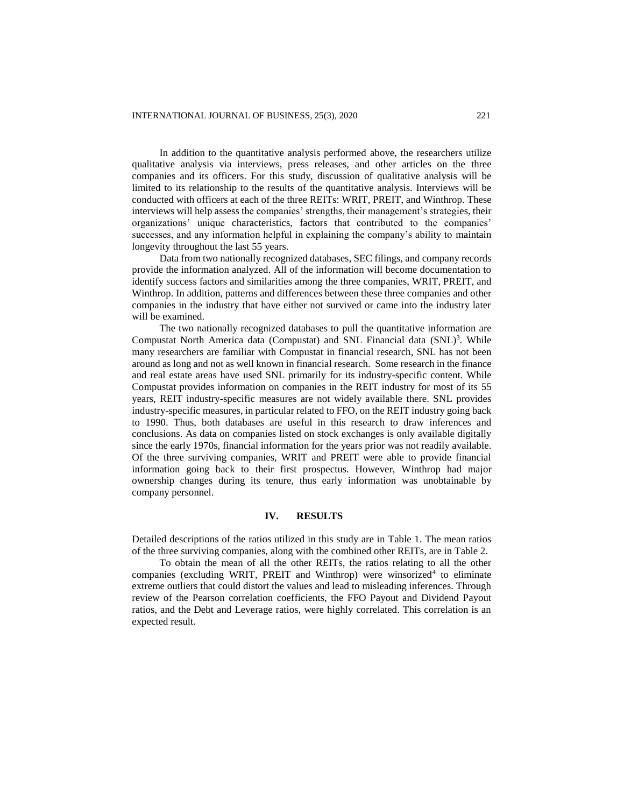In addition to the quantitative analysis performed above, the researchers utilize qualitative analysis via interviews, press releases, and other articles on the three companies and its officers. For this study, discussion of qualitative analysis will be limited to its relationship to the results of the quantitative analysis. Interviews will be conducted with officers at each of the three REITs: WRIT, PREIT, and Winthrop. These interviews will help assess the companies' strengths, their management's strategies, their organizations' unique characteristics, factors that contributed to the companies' successes, and any information helpful in explaining the company's ability to maintain longevity throughout the last 55 years.

Data from two nationally recognized databases, SEC filings, and company records provide the information analyzed. All of the information will become documentation to identify success factors and similarities among the three companies, WRIT, PREIT, and Winthrop. In addition, patterns and differences between these three companies and other companies in the industry that have either not survived or came into the industry later will be examined.

The two nationally recognized databases to pull the quantitative information are Compustat North America data (Compustat) and SNL Financial data (SNL)<sup>3</sup>. While many researchers are familiar with Compustat in financial research, SNL has not been around as long and not as well known in financial research. Some research in the finance and real estate areas have used SNL primarily for its industry-specific content. While Compustat provides information on companies in the REIT industry for most of its 55 years, REIT industry-specific measures are not widely available there. SNL provides industry-specific measures, in particular related to FFO, on the REIT industry going back to 1990. Thus, both databases are useful in this research to draw inferences and conclusions. As data on companies listed on stock exchanges is only available digitally since the early 1970s, financial information for the years prior was not readily available. Of the three surviving companies, WRIT and PREIT were able to provide financial information going back to their first prospectus. However, Winthrop had major ownership changes during its tenure, thus early information was unobtainable by company personnel.

## **IV. RESULTS**

Detailed descriptions of the ratios utilized in this study are in Table 1. The mean ratios of the three surviving companies, along with the combined other REITs, are in Table 2.

To obtain the mean of all the other REITs, the ratios relating to all the other companies (excluding WRIT, PREIT and Winthrop) were winsorized<sup>4</sup> to eliminate extreme outliers that could distort the values and lead to misleading inferences. Through review of the Pearson correlation coefficients, the FFO Payout and Dividend Payout ratios, and the Debt and Leverage ratios, were highly correlated. This correlation is an expected result.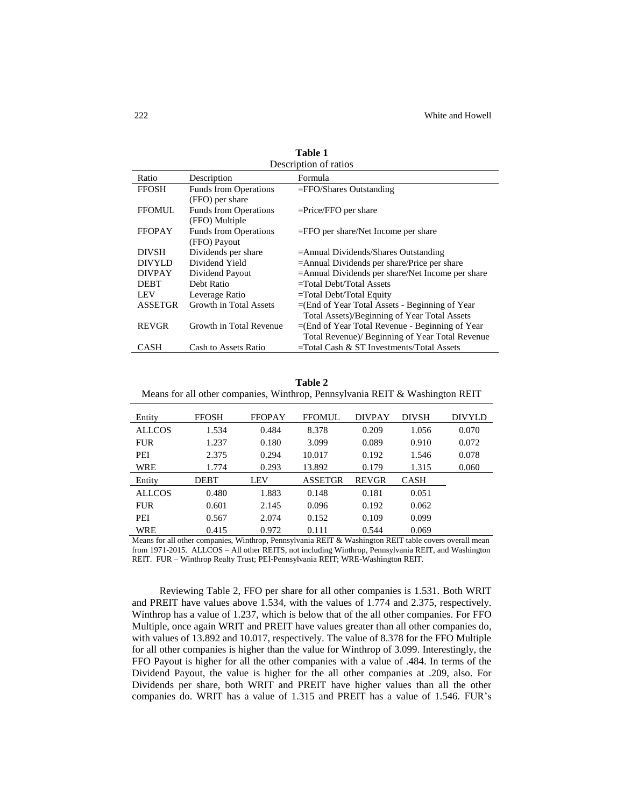| Description of ratios |                                                 |                                                    |  |  |  |
|-----------------------|-------------------------------------------------|----------------------------------------------------|--|--|--|
| Ratio                 | Description                                     | Formula                                            |  |  |  |
| <b>FFOSH</b>          | <b>Funds from Operations</b>                    | $=$ FFO/Shares Outstanding                         |  |  |  |
|                       | (FFO) per share                                 |                                                    |  |  |  |
| <b>FFOMUL</b>         | <b>Funds from Operations</b>                    | $=$ Price/FFO per share                            |  |  |  |
| (FFO) Multiple        |                                                 |                                                    |  |  |  |
| <b>FFOPAY</b>         | <b>Funds from Operations</b>                    | $=$ FFO per share/Net Income per share             |  |  |  |
|                       | (FFO) Payout                                    |                                                    |  |  |  |
| <b>DIVSH</b>          | Dividends per share                             | $=$ Annual Dividends/Shares Outstanding            |  |  |  |
| <b>DIVYLD</b>         | Dividend Yield                                  | $=$ Annual Dividends per share/Price per share     |  |  |  |
| <b>DIVPAY</b>         | Dividend Payout                                 | =Annual Dividends per share/Net Income per share   |  |  |  |
| <b>DEBT</b>           | Debt Ratio                                      | $=$ Total Debt/Total Assets                        |  |  |  |
| <b>LEV</b>            | Leverage Ratio                                  | $=$ Total Debt/Total Equity                        |  |  |  |
| <b>ASSETGR</b>        | Growth in Total Assets                          | $=$ (End of Year Total Assets - Beginning of Year  |  |  |  |
|                       |                                                 | Total Assets)/Beginning of Year Total Assets       |  |  |  |
| <b>REVGR</b>          | Growth in Total Revenue                         | $=$ (End of Year Total Revenue - Beginning of Year |  |  |  |
|                       | Total Revenue)/ Beginning of Year Total Revenue |                                                    |  |  |  |
| <b>CASH</b>           | Cash to Assets Ratio                            | $=$ Total Cash & ST Investments/Total Assets       |  |  |  |

**Table 1**

| Table 2                                                                      |  |  |  |  |  |  |
|------------------------------------------------------------------------------|--|--|--|--|--|--|
| Means for all other companies, Winthrop, Pennsylvania REIT & Washington REIT |  |  |  |  |  |  |

| Entity        | <b>FFOSH</b> | <b>FFOPAY</b> | <b>FFOMUL</b>  | <b>DIVPAY</b> | <b>DIVSH</b> | <b>DIVYLD</b> |
|---------------|--------------|---------------|----------------|---------------|--------------|---------------|
| <b>ALLCOS</b> | 1.534        | 0.484         | 8.378          | 0.209         | 1.056        | 0.070         |
| <b>FUR</b>    | 1.237        | 0.180         | 3.099          | 0.089         | 0.910        | 0.072         |
| PEI           | 2.375        | 0.294         | 10.017         | 0.192         | 1.546        | 0.078         |
| WRE           | 1.774        | 0.293         | 13.892         | 0.179         | 1.315        | 0.060         |
| Entity        | DEBT         | LEV           | <b>ASSETGR</b> | <b>REVGR</b>  | <b>CASH</b>  |               |
| <b>ALLCOS</b> | 0.480        | 1.883         | 0.148          | 0.181         | 0.051        |               |
| <b>FUR</b>    | 0.601        | 2.145         | 0.096          | 0.192         | 0.062        |               |
| PEI           | 0.567        | 2.074         | 0.152          | 0.109         | 0.099        |               |
| WRE           | 0.415        | 0.972         | 0.111          | 0.544         | 0.069        |               |

Means for all other companies, Winthrop, Pennsylvania REIT & Washington REIT table covers overall mean from 1971-2015. ALLCOS – All other REITS, not including Winthrop, Pennsylvania REIT, and Washington REIT. FUR – Winthrop Realty Trust; PEI-Pennsylvania REIT; WRE-Washington REIT.

Reviewing Table 2, FFO per share for all other companies is 1.531. Both WRIT and PREIT have values above 1.534, with the values of 1.774 and 2.375, respectively. Winthrop has a value of 1.237, which is below that of the all other companies. For FFO Multiple, once again WRIT and PREIT have values greater than all other companies do, with values of 13.892 and 10.017, respectively. The value of 8.378 for the FFO Multiple for all other companies is higher than the value for Winthrop of 3.099. Interestingly, the FFO Payout is higher for all the other companies with a value of .484. In terms of the Dividend Payout, the value is higher for the all other companies at .209, also. For Dividends per share, both WRIT and PREIT have higher values than all the other companies do. WRIT has a value of 1.315 and PREIT has a value of 1.546. FUR's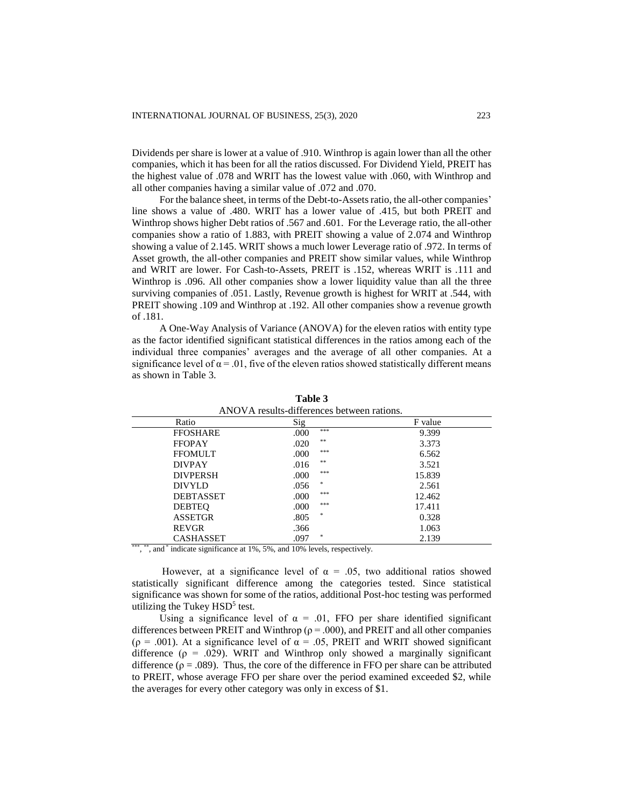Dividends per share is lower at a value of .910. Winthrop is again lower than all the other companies, which it has been for all the ratios discussed. For Dividend Yield, PREIT has the highest value of .078 and WRIT has the lowest value with .060, with Winthrop and all other companies having a similar value of .072 and .070.

For the balance sheet, in terms of the Debt-to-Assets ratio, the all-other companies' line shows a value of .480. WRIT has a lower value of .415, but both PREIT and Winthrop shows higher Debt ratios of .567 and .601. For the Leverage ratio, the all-other companies show a ratio of 1.883, with PREIT showing a value of 2.074 and Winthrop showing a value of 2.145. WRIT shows a much lower Leverage ratio of .972. In terms of Asset growth, the all-other companies and PREIT show similar values, while Winthrop and WRIT are lower. For Cash-to-Assets, PREIT is .152, whereas WRIT is .111 and Winthrop is .096. All other companies show a lower liquidity value than all the three surviving companies of .051. Lastly, Revenue growth is highest for WRIT at .544, with PREIT showing .109 and Winthrop at .192. All other companies show a revenue growth of .181.

A One-Way Analysis of Variance (ANOVA) for the eleven ratios with entity type as the factor identified significant statistical differences in the ratios among each of the individual three companies' averages and the average of all other companies. At a significance level of  $\alpha$  = .01, five of the eleven ratios showed statistically different means as shown in Table 3.

| ANOVA results-differences between rations.                          |             |         |  |  |  |
|---------------------------------------------------------------------|-------------|---------|--|--|--|
| Ratio                                                               | Sig         | F value |  |  |  |
| <b>FFOSHARE</b>                                                     | ***<br>.000 | 9.399   |  |  |  |
| <b>FFOPAY</b>                                                       | **<br>.020  | 3.373   |  |  |  |
| <b>FFOMULT</b>                                                      | ***<br>.000 | 6.562   |  |  |  |
| <b>DIVPAY</b>                                                       | **<br>.016  | 3.521   |  |  |  |
| <b>DIVPERSH</b>                                                     | ***<br>.000 | 15.839  |  |  |  |
| <b>DIVYLD</b>                                                       | *<br>.056   | 2.561   |  |  |  |
| <b>DEBTASSET</b>                                                    | ***<br>.000 | 12.462  |  |  |  |
| <b>DEBTEQ</b>                                                       | ***<br>.000 | 17.411  |  |  |  |
| <b>ASSETGR</b>                                                      | *<br>.805   | 0.328   |  |  |  |
| <b>REVGR</b>                                                        | .366        | 1.063   |  |  |  |
| CASHASSET                                                           | *<br>.097   | 2.139   |  |  |  |
| and and the state of the state<br><b>Contract Contract Contract</b> |             |         |  |  |  |

**Table 3**

\*\*\*, \*\*, and \* indicate significance at 1%, 5%, and 10% levels, respectively.

However, at a significance level of  $\alpha = .05$ , two additional ratios showed statistically significant difference among the categories tested. Since statistical significance was shown for some of the ratios, additional Post-hoc testing was performed utilizing the Tukey  $HSD<sup>5</sup>$  test.

Using a significance level of  $\alpha = 0.01$ , FFO per share identified significant differences between PREIT and Winthrop ( $\rho = .000$ ), and PREIT and all other companies ( $\rho = .001$ ). At a significance level of  $\alpha = .05$ , PREIT and WRIT showed significant difference ( $\rho = .029$ ). WRIT and Winthrop only showed a marginally significant difference ( $\rho = .089$ ). Thus, the core of the difference in FFO per share can be attributed to PREIT, whose average FFO per share over the period examined exceeded \$2, while the averages for every other category was only in excess of \$1.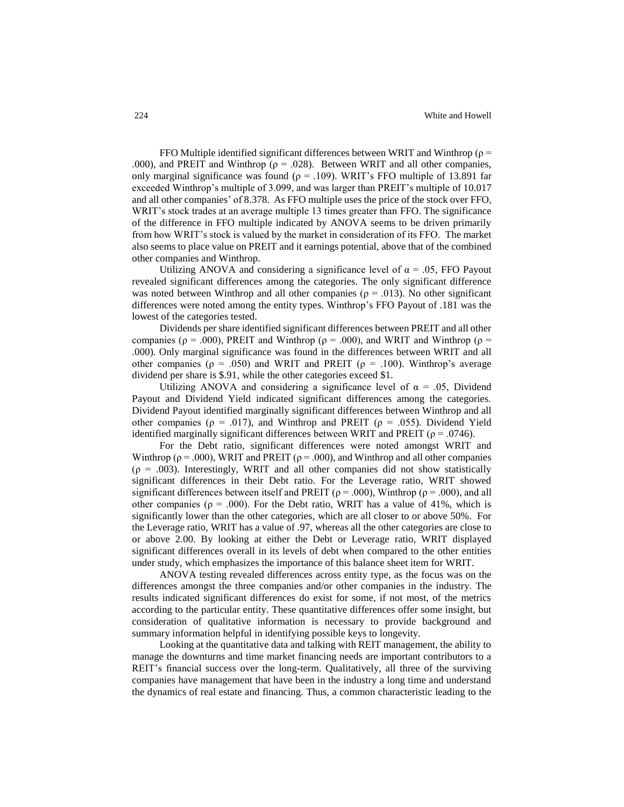FFO Multiple identified significant differences between WRIT and Winthrop ( $\rho$  = .000), and PREIT and Winthrop ( $\rho = .028$ ). Between WRIT and all other companies, only marginal significance was found ( $\rho = .109$ ). WRIT's FFO multiple of 13.891 far exceeded Winthrop's multiple of 3.099, and was larger than PREIT's multiple of 10.017 and all other companies' of 8.378. As FFO multiple uses the price of the stock over FFO, WRIT's stock trades at an average multiple 13 times greater than FFO. The significance of the difference in FFO multiple indicated by ANOVA seems to be driven primarily from how WRIT's stock is valued by the market in consideration of its FFO. The market also seems to place value on PREIT and it earnings potential, above that of the combined other companies and Winthrop.

Utilizing ANOVA and considering a significance level of  $\alpha = .05$ , FFO Payout revealed significant differences among the categories. The only significant difference was noted between Winthrop and all other companies ( $\rho = .013$ ). No other significant differences were noted among the entity types. Winthrop's FFO Payout of .181 was the lowest of the categories tested.

Dividends per share identified significant differences between PREIT and all other companies ( $ρ = .000$ ), PREIT and Winthrop ( $ρ = .000$ ), and WRIT and Winthrop ( $ρ =$ .000). Only marginal significance was found in the differences between WRIT and all other companies ( $\rho = .050$ ) and WRIT and PREIT ( $\rho = .100$ ). Winthrop's average dividend per share is \$.91, while the other categories exceed \$1.

Utilizing ANOVA and considering a significance level of  $\alpha = .05$ , Dividend Payout and Dividend Yield indicated significant differences among the categories. Dividend Payout identified marginally significant differences between Winthrop and all other companies ( $\rho = .017$ ), and Winthrop and PREIT ( $\rho = .055$ ). Dividend Yield identified marginally significant differences between WRIT and PREIT ( $\rho = .0746$ ).

For the Debt ratio, significant differences were noted amongst WRIT and Winthrop ( $\rho$  = .000), WRIT and PREIT ( $\rho$  = .000), and Winthrop and all other companies  $(p = .003)$ . Interestingly, WRIT and all other companies did not show statistically significant differences in their Debt ratio. For the Leverage ratio, WRIT showed significant differences between itself and PREIT ( $\rho = .000$ ), Winthrop ( $\rho = .000$ ), and all other companies ( $\rho = .000$ ). For the Debt ratio, WRIT has a value of 41%, which is significantly lower than the other categories, which are all closer to or above 50%. For the Leverage ratio, WRIT has a value of .97, whereas all the other categories are close to or above 2.00. By looking at either the Debt or Leverage ratio, WRIT displayed significant differences overall in its levels of debt when compared to the other entities under study, which emphasizes the importance of this balance sheet item for WRIT.

ANOVA testing revealed differences across entity type, as the focus was on the differences amongst the three companies and/or other companies in the industry. The results indicated significant differences do exist for some, if not most, of the metrics according to the particular entity. These quantitative differences offer some insight, but consideration of qualitative information is necessary to provide background and summary information helpful in identifying possible keys to longevity.

Looking at the quantitative data and talking with REIT management, the ability to manage the downturns and time market financing needs are important contributors to a REIT's financial success over the long-term. Qualitatively, all three of the surviving companies have management that have been in the industry a long time and understand the dynamics of real estate and financing. Thus, a common characteristic leading to the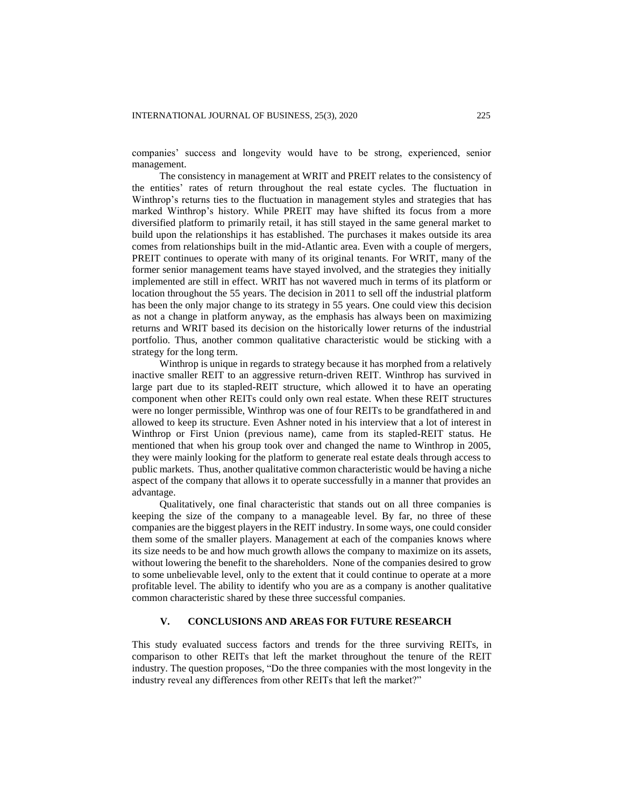companies' success and longevity would have to be strong, experienced, senior management.

The consistency in management at WRIT and PREIT relates to the consistency of the entities' rates of return throughout the real estate cycles. The fluctuation in Winthrop's returns ties to the fluctuation in management styles and strategies that has marked Winthrop's history. While PREIT may have shifted its focus from a more diversified platform to primarily retail, it has still stayed in the same general market to build upon the relationships it has established. The purchases it makes outside its area comes from relationships built in the mid-Atlantic area. Even with a couple of mergers, PREIT continues to operate with many of its original tenants. For WRIT, many of the former senior management teams have stayed involved, and the strategies they initially implemented are still in effect. WRIT has not wavered much in terms of its platform or location throughout the 55 years. The decision in 2011 to sell off the industrial platform has been the only major change to its strategy in 55 years. One could view this decision as not a change in platform anyway, as the emphasis has always been on maximizing returns and WRIT based its decision on the historically lower returns of the industrial portfolio. Thus, another common qualitative characteristic would be sticking with a strategy for the long term.

Winthrop is unique in regards to strategy because it has morphed from a relatively inactive smaller REIT to an aggressive return-driven REIT. Winthrop has survived in large part due to its stapled-REIT structure, which allowed it to have an operating component when other REITs could only own real estate. When these REIT structures were no longer permissible, Winthrop was one of four REITs to be grandfathered in and allowed to keep its structure. Even Ashner noted in his interview that a lot of interest in Winthrop or First Union (previous name), came from its stapled-REIT status. He mentioned that when his group took over and changed the name to Winthrop in 2005, they were mainly looking for the platform to generate real estate deals through access to public markets. Thus, another qualitative common characteristic would be having a niche aspect of the company that allows it to operate successfully in a manner that provides an advantage.

Qualitatively, one final characteristic that stands out on all three companies is keeping the size of the company to a manageable level. By far, no three of these companies are the biggest players in the REIT industry. In some ways, one could consider them some of the smaller players. Management at each of the companies knows where its size needs to be and how much growth allows the company to maximize on its assets, without lowering the benefit to the shareholders. None of the companies desired to grow to some unbelievable level, only to the extent that it could continue to operate at a more profitable level. The ability to identify who you are as a company is another qualitative common characteristic shared by these three successful companies.

## **V. CONCLUSIONS AND AREAS FOR FUTURE RESEARCH**

This study evaluated success factors and trends for the three surviving REITs, in comparison to other REITs that left the market throughout the tenure of the REIT industry. The question proposes, "Do the three companies with the most longevity in the industry reveal any differences from other REITs that left the market?"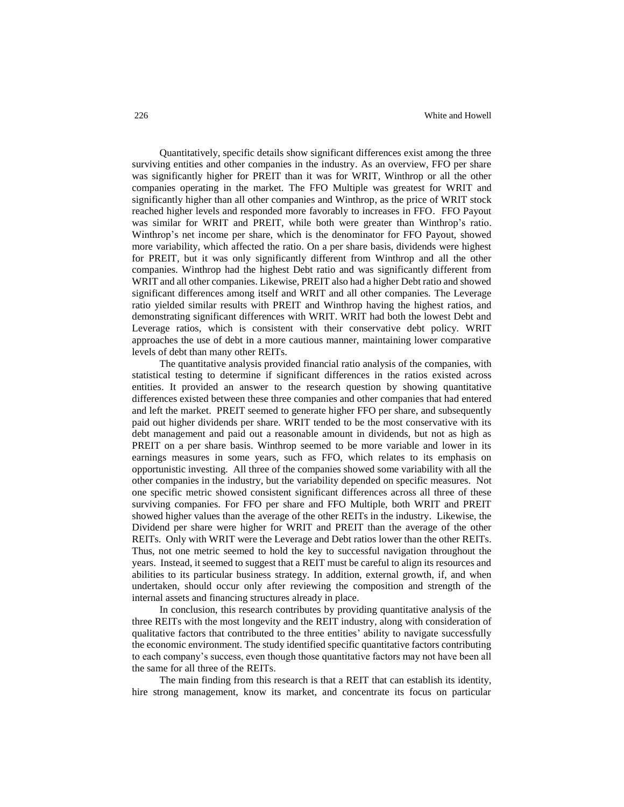Quantitatively, specific details show significant differences exist among the three surviving entities and other companies in the industry. As an overview, FFO per share was significantly higher for PREIT than it was for WRIT, Winthrop or all the other companies operating in the market. The FFO Multiple was greatest for WRIT and significantly higher than all other companies and Winthrop, as the price of WRIT stock reached higher levels and responded more favorably to increases in FFO. FFO Payout was similar for WRIT and PREIT, while both were greater than Winthrop's ratio. Winthrop's net income per share, which is the denominator for FFO Payout, showed more variability, which affected the ratio. On a per share basis, dividends were highest for PREIT, but it was only significantly different from Winthrop and all the other companies. Winthrop had the highest Debt ratio and was significantly different from WRIT and all other companies. Likewise, PREIT also had a higher Debt ratio and showed significant differences among itself and WRIT and all other companies. The Leverage ratio yielded similar results with PREIT and Winthrop having the highest ratios, and demonstrating significant differences with WRIT. WRIT had both the lowest Debt and Leverage ratios, which is consistent with their conservative debt policy. WRIT approaches the use of debt in a more cautious manner, maintaining lower comparative levels of debt than many other REITs.

The quantitative analysis provided financial ratio analysis of the companies, with statistical testing to determine if significant differences in the ratios existed across entities. It provided an answer to the research question by showing quantitative differences existed between these three companies and other companies that had entered and left the market. PREIT seemed to generate higher FFO per share, and subsequently paid out higher dividends per share. WRIT tended to be the most conservative with its debt management and paid out a reasonable amount in dividends, but not as high as PREIT on a per share basis. Winthrop seemed to be more variable and lower in its earnings measures in some years, such as FFO, which relates to its emphasis on opportunistic investing. All three of the companies showed some variability with all the other companies in the industry, but the variability depended on specific measures. Not one specific metric showed consistent significant differences across all three of these surviving companies. For FFO per share and FFO Multiple, both WRIT and PREIT showed higher values than the average of the other REITs in the industry. Likewise, the Dividend per share were higher for WRIT and PREIT than the average of the other REITs. Only with WRIT were the Leverage and Debt ratios lower than the other REITs. Thus, not one metric seemed to hold the key to successful navigation throughout the years. Instead, it seemed to suggest that a REIT must be careful to align its resources and abilities to its particular business strategy. In addition, external growth, if, and when undertaken, should occur only after reviewing the composition and strength of the internal assets and financing structures already in place.

In conclusion, this research contributes by providing quantitative analysis of the three REITs with the most longevity and the REIT industry, along with consideration of qualitative factors that contributed to the three entities' ability to navigate successfully the economic environment. The study identified specific quantitative factors contributing to each company's success, even though those quantitative factors may not have been all the same for all three of the REITs.

The main finding from this research is that a REIT that can establish its identity, hire strong management, know its market, and concentrate its focus on particular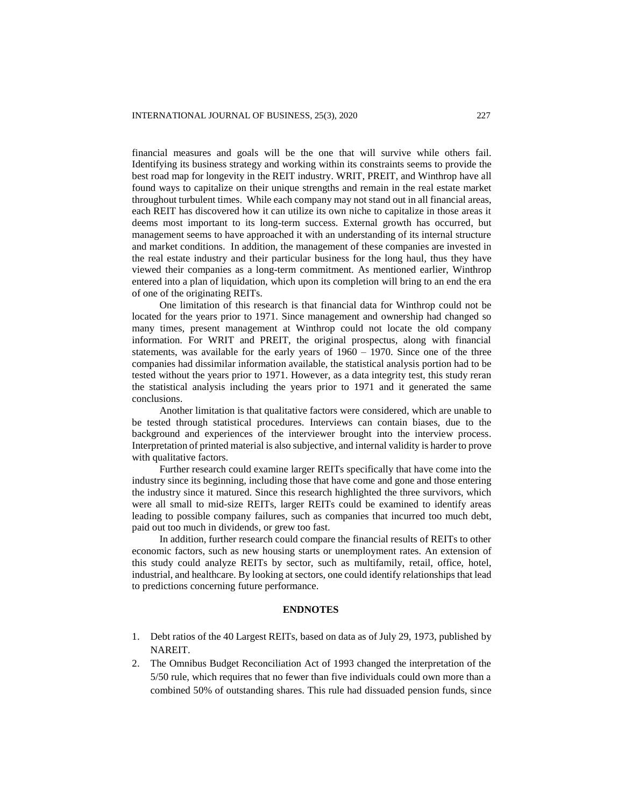financial measures and goals will be the one that will survive while others fail. Identifying its business strategy and working within its constraints seems to provide the best road map for longevity in the REIT industry. WRIT, PREIT, and Winthrop have all found ways to capitalize on their unique strengths and remain in the real estate market throughout turbulent times. While each company may not stand out in all financial areas, each REIT has discovered how it can utilize its own niche to capitalize in those areas it deems most important to its long-term success. External growth has occurred, but management seems to have approached it with an understanding of its internal structure and market conditions. In addition, the management of these companies are invested in the real estate industry and their particular business for the long haul, thus they have viewed their companies as a long-term commitment. As mentioned earlier, Winthrop entered into a plan of liquidation, which upon its completion will bring to an end the era of one of the originating REITs.

One limitation of this research is that financial data for Winthrop could not be located for the years prior to 1971. Since management and ownership had changed so many times, present management at Winthrop could not locate the old company information. For WRIT and PREIT, the original prospectus, along with financial statements, was available for the early years of  $1960 - 1970$ . Since one of the three companies had dissimilar information available, the statistical analysis portion had to be tested without the years prior to 1971. However, as a data integrity test, this study reran the statistical analysis including the years prior to 1971 and it generated the same conclusions.

Another limitation is that qualitative factors were considered, which are unable to be tested through statistical procedures. Interviews can contain biases, due to the background and experiences of the interviewer brought into the interview process. Interpretation of printed material is also subjective, and internal validity is harder to prove with qualitative factors.

Further research could examine larger REITs specifically that have come into the industry since its beginning, including those that have come and gone and those entering the industry since it matured. Since this research highlighted the three survivors, which were all small to mid-size REITs, larger REITs could be examined to identify areas leading to possible company failures, such as companies that incurred too much debt, paid out too much in dividends, or grew too fast.

In addition, further research could compare the financial results of REITs to other economic factors, such as new housing starts or unemployment rates. An extension of this study could analyze REITs by sector, such as multifamily, retail, office, hotel, industrial, and healthcare. By looking at sectors, one could identify relationships that lead to predictions concerning future performance.

#### **ENDNOTES**

- 1. Debt ratios of the 40 Largest REITs, based on data as of July 29, 1973, published by NAREIT.
- 2. The Omnibus Budget Reconciliation Act of 1993 changed the interpretation of the 5/50 rule, which requires that no fewer than five individuals could own more than a combined 50% of outstanding shares. This rule had dissuaded pension funds, since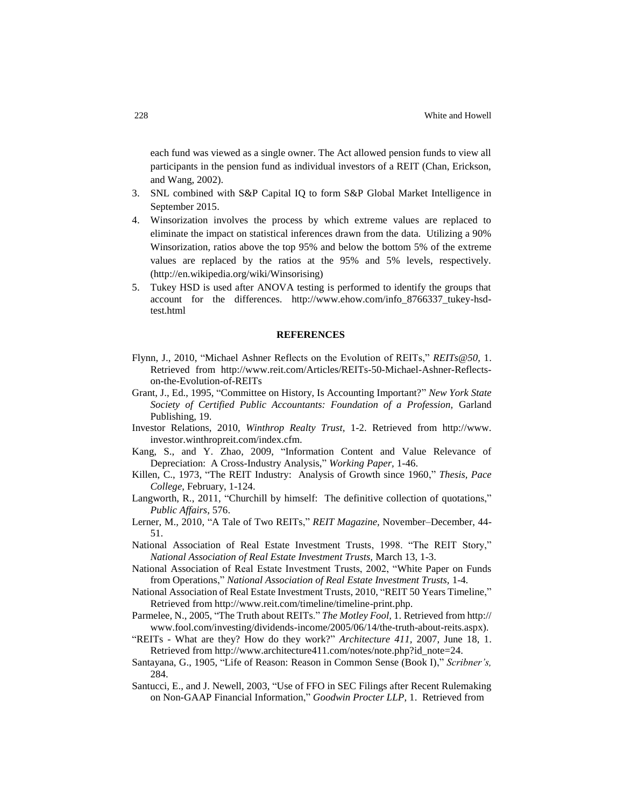each fund was viewed as a single owner. The Act allowed pension funds to view all participants in the pension fund as individual investors of a REIT (Chan, Erickson, and Wang, 2002).

- 3. SNL combined with S&P Capital IQ to form S&P Global Market Intelligence in September 2015.
- 4. Winsorization involves the process by which extreme values are replaced to eliminate the impact on statistical inferences drawn from the data. Utilizing a 90% Winsorization, ratios above the top 95% and below the bottom 5% of the extreme values are replaced by the ratios at the 95% and 5% levels, respectively. (http://en.wikipedia.org/wiki/Winsorising)
- 5. Tukey HSD is used after ANOVA testing is performed to identify the groups that account for the differences. http://www.ehow.com/info\_8766337\_tukey-hsdtest.html

#### **REFERENCES**

- Flynn, J., 2010, "Michael Ashner Reflects on the Evolution of REITs," *REITs@50,* 1. Retrieved from [http://www.reit.com/Articles/REITs-50-Michael-Ashner-Reflects](http://www.reit.com/Articles/REITs-50-Michael-Ashner-Reflects-on-the-Evolution-of-REITs)[on-the-Evolution-of-REITs](http://www.reit.com/Articles/REITs-50-Michael-Ashner-Reflects-on-the-Evolution-of-REITs)
- Grant, J., Ed., 1995, "Committee on History, Is Accounting Important?" *New York State Society of Certified Public Accountants: Foundation of a Profession,* Garland Publishing, 19.
- Investor Relations, 2010, *Winthrop Realty Trust,* 1-2. Retrieved from [http://www.](http://www/) investor.winthropreit.com/index.cfm.
- Kang, S., and Y. Zhao, 2009, "Information Content and Value Relevance of Depreciation: A Cross-Industry Analysis," *Working Paper,* 1-46.
- Killen, C., 1973, "The REIT Industry: Analysis of Growth since 1960," *Thesis, Pace College*, February, 1-124.
- Langworth, R., 2011, "Churchill by himself: The definitive collection of quotations," *Public Affairs*, 576.
- Lerner, M., 2010, "A Tale of Two REITs," *REIT Magazine,* November–December, 44- 51.
- National Association of Real Estate Investment Trusts, 1998. "The REIT Story," *National Association of Real Estate Investment Trusts,* March 13, 1-3.
- National Association of Real Estate Investment Trusts, 2002, "White Paper on Funds from Operations," *National Association of Real Estate Investment Trusts,* 1-4*.*
- National Association of Real Estate Investment Trusts, 2010, "REIT 50 Years Timeline," Retrieved from http://www.reit.com/timeline/timeline-print.php.
- Parmelee, N., 2005, "The Truth about REITs." *The Motley Fool,* 1. Retrieved from http:// www.fool.com/investing/dividends-income/2005/06/14/the-truth-about-reits.aspx).
- "REITs What are they? How do they work?" *Architecture 411,* 2007, June 18, 1. Retrieved from http://www.architecture411.com/notes/note.php?id\_note=24.
- Santayana, G., 1905, "Life of Reason: Reason in Common Sense (Book I)," *Scribner's,* 284.
- Santucci, E., and J. Newell, 2003, "Use of FFO in SEC Filings after Recent Rulemaking on Non-GAAP Financial Information," *Goodwin Procter LLP*, 1. Retrieved from